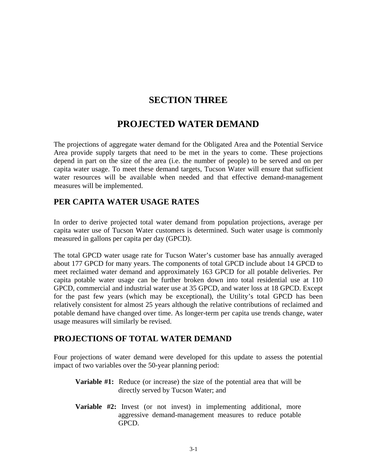## **SECTION THREE**

# **PROJECTED WATER DEMAND**

The projections of aggregate water demand for the Obligated Area and the Potential Service Area provide supply targets that need to be met in the years to come. These projections depend in part on the size of the area (i.e. the number of people) to be served and on per capita water usage. To meet these demand targets, Tucson Water will ensure that sufficient water resources will be available when needed and that effective demand-management measures will be implemented.

#### **PER CAPITA WATER USAGE RATES**

In order to derive projected total water demand from population projections, average per capita water use of Tucson Water customers is determined. Such water usage is commonly measured in gallons per capita per day (GPCD).

The total GPCD water usage rate for Tucson Water's customer base has annually averaged about 177 GPCD for many years. The components of total GPCD include about 14 GPCD to meet reclaimed water demand and approximately 163 GPCD for all potable deliveries. Per capita potable water usage can be further broken down into total residential use at 110 GPCD, commercial and industrial water use at 35 GPCD, and water loss at 18 GPCD. Except for the past few years (which may be exceptional), the Utility's total GPCD has been relatively consistent for almost 25 years although the relative contributions of reclaimed and potable demand have changed over time. As longer-term per capita use trends change, water usage measures will similarly be revised.

## **PROJECTIONS OF TOTAL WATER DEMAND**

Four projections of water demand were developed for this update to assess the potential impact of two variables over the 50-year planning period:

- **Variable #1:** Reduce (or increase) the size of the potential area that will be directly served by Tucson Water; and
- **Variable #2:** Invest (or not invest) in implementing additional, more aggressive demand-management measures to reduce potable GPCD.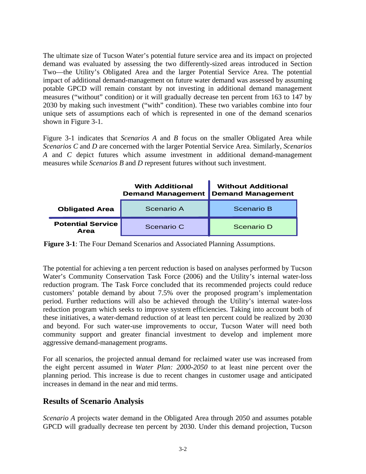The ultimate size of Tucson Water's potential future service area and its impact on projected demand was evaluated by assessing the two differently-sized areas introduced in Section Two—the Utility's Obligated Area and the larger Potential Service Area. The potential impact of additional demand-management on future water demand was assessed by assuming potable GPCD will remain constant by not investing in additional demand management measures ("without" condition) or it will gradually decrease ten percent from 163 to 147 by 2030 by making such investment ("with" condition). These two variables combine into four unique sets of assumptions each of which is represented in one of the demand scenarios shown in Figure 3-1.

Figure 3-1 indicates that *Scenarios A* and *B* focus on the smaller Obligated Area while *Scenarios C* and *D* are concerned with the larger Potential Service Area. Similarly, *Scenarios A* and *C* depict futures which assume investment in additional demand-management measures while *Scenarios B* and *D* represent futures without such investment.

|                                         | <b>With Additional</b><br><b>Demand Management</b> | <b>Without Additional</b><br><b>Demand Management</b> |
|-----------------------------------------|----------------------------------------------------|-------------------------------------------------------|
| <b>Obligated Area</b>                   | Scenario A                                         | Scenario B                                            |
| <b>Potential Service</b><br><b>Area</b> | Scenario C                                         | Scenario D                                            |

**Figure 3-1**: The Four Demand Scenarios and Associated Planning Assumptions.

The potential for achieving a ten percent reduction is based on analyses performed by Tucson Water's Community Conservation Task Force (2006) and the Utility's internal water-loss reduction program. The Task Force concluded that its recommended projects could reduce customers' potable demand by about 7.5% over the proposed program's implementation period. Further reductions will also be achieved through the Utility's internal water-loss reduction program which seeks to improve system efficiencies. Taking into account both of these initiatives, a water-demand reduction of at least ten percent could be realized by 2030 and beyond. For such water-use improvements to occur, Tucson Water will need both community support and greater financial investment to develop and implement more aggressive demand-management programs.

For all scenarios, the projected annual demand for reclaimed water use was increased from the eight percent assumed in *Water Plan: 2000-2050* to at least nine percent over the planning period. This increase is due to recent changes in customer usage and anticipated increases in demand in the near and mid terms.

## **Results of Scenario Analysis**

*Scenario A* projects water demand in the Obligated Area through 2050 and assumes potable GPCD will gradually decrease ten percent by 2030. Under this demand projection, Tucson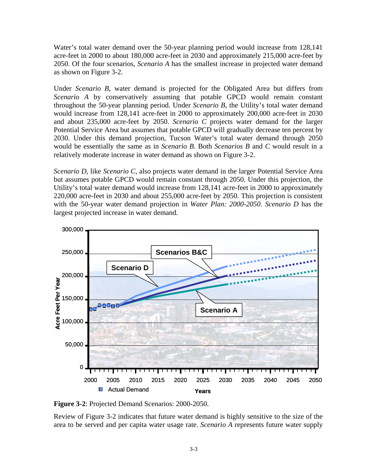Water's total water demand over the 50-year planning period would increase from 128,141 acre-feet in 2000 to about 180,000 acre-feet in 2030 and approximately 215,000 acre-feet by 2050. Of the four scenarios, *Scenario A* has the smallest increase in projected water demand as shown on Figure 3-2.

Under *Scenario B*, water demand is projected for the Obligated Area but differs from *Scenario A* by conservatively assuming that potable GPCD would remain constant throughout the 50-year planning period. Under *Scenario B*, the Utility's total water demand would increase from 128,141 acre-feet in 2000 to approximately 200,000 acre-feet in 2030 and about 235,000 acre-feet by 2050. *Scenario C* projects water demand for the larger Potential Service Area but assumes that potable GPCD will gradually decrease ten percent by 2030. Under this demand projection, Tucson Water's total water demand through 2050 would be essentially the same as in *Scenario B*. Both *Scenarios B* and *C* would result in a relatively moderate increase in water demand as shown on Figure 3-2.

*Scenario D*, like *Scenario C*, also projects water demand in the larger Potential Service Area but assumes potable GPCD would remain constant through 2050. Under this projection, the Utility's total water demand would increase from 128,141 acre-feet in 2000 to approximately 220,000 acre-feet in 2030 and about 255,000 acre-feet by 2050. This projection is consistent with the 50-year water demand projection in *Water Plan: 2000-2050*. *Scenario D* has the largest projected increase in water demand.



**Figure 3-2**: Projected Demand Scenarios: 2000-2050.

Review of Figure 3-2 indicates that future water demand is highly sensitive to the size of the area to be served and per capita water usage rate. *Scenario A* represents future water supply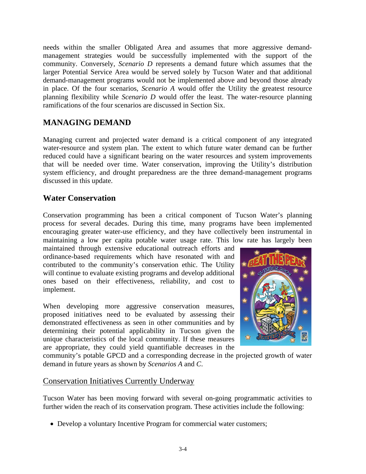needs within the smaller Obligated Area and assumes that more aggressive demandmanagement strategies would be successfully implemented with the support of the community. Conversely, *Scenario D* represents a demand future which assumes that the larger Potential Service Area would be served solely by Tucson Water and that additional demand-management programs would not be implemented above and beyond those already in place. Of the four scenarios, *Scenario A* would offer the Utility the greatest resource planning flexibility while *Scenario D* would offer the least. The water-resource planning ramifications of the four scenarios are discussed in Section Six.

## **MANAGING DEMAND**

Managing current and projected water demand is a critical component of any integrated water-resource and system plan. The extent to which future water demand can be further reduced could have a significant bearing on the water resources and system improvements that will be needed over time. Water conservation, improving the Utility's distribution system efficiency, and drought preparedness are the three demand-management programs discussed in this update.

## **Water Conservation**

Conservation programming has been a critical component of Tucson Water's planning process for several decades. During this time, many programs have been implemented encouraging greater water-use efficiency, and they have collectively been instrumental in maintaining a low per capita potable water usage rate. This low rate has largely been

maintained through extensive educational outreach efforts and ordinance-based requirements which have resonated with and contributed to the community's conservation ethic. The Utility will continue to evaluate existing programs and develop additional ones based on their effectiveness, reliability, and cost to implement.

When developing more aggressive conservation measures, proposed initiatives need to be evaluated by assessing their demonstrated effectiveness as seen in other communities and by determining their potential applicability in Tucson given the unique characteristics of the local community. If these measures are appropriate, they could yield quantifiable decreases in the



community's potable GPCD and a corresponding decrease in the projected growth of water demand in future years as shown by *Scenarios A* and *C*.

#### Conservation Initiatives Currently Underway

Tucson Water has been moving forward with several on-going programmatic activities to further widen the reach of its conservation program. These activities include the following:

• Develop a voluntary Incentive Program for commercial water customers;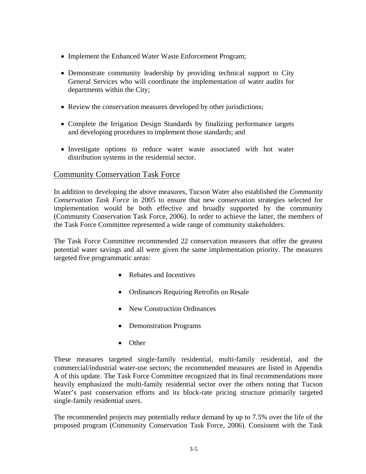- Implement the Enhanced Water Waste Enforcement Program;
- Demonstrate community leadership by providing technical support to City General Services who will coordinate the implementation of water audits for departments within the City;
- Review the conservation measures developed by other jurisdictions;
- Complete the Irrigation Design Standards by finalizing performance targets and developing procedures to implement those standards; and
- Investigate options to reduce water waste associated with hot water distribution systems in the residential sector.

#### Community Conservation Task Force

In addition to developing the above measures, Tucson Water also established the *Community Conservation Task Force* in 2005 to ensure that new conservation strategies selected for implementation would be both effective and broadly supported by the community (Community Conservation Task Force, 2006). In order to achieve the latter, the members of the Task Force Committee represented a wide range of community stakeholders.

The Task Force Committee recommended 22 conservation measures that offer the greatest potential water savings and all were given the same implementation priority. The measures targeted five programmatic areas:

- Rebates and Incentives
- Ordinances Requiring Retrofits on Resale
- New Construction Ordinances
- Demonstration Programs
- Other

These measures targeted single-family residential, multi-family residential, and the commercial/industrial water-use sectors; the recommended measures are listed in Appendix A of this update. The Task Force Committee recognized that its final recommendations more heavily emphasized the multi-family residential sector over the others noting that Tucson Water's past conservation efforts and its block-rate pricing structure primarily targeted single-family residential users.

The recommended projects may potentially reduce demand by up to 7.5% over the life of the proposed program (Community Conservation Task Force, 2006). Consistent with the Task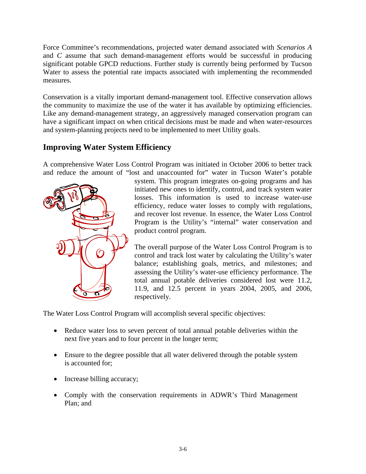Force Committee's recommendations, projected water demand associated with *Scenarios A* and *C* assume that such demand-management efforts would be successful in producing significant potable GPCD reductions. Further study is currently being performed by Tucson Water to assess the potential rate impacts associated with implementing the recommended measures.

Conservation is a vitally important demand-management tool. Effective conservation allows the community to maximize the use of the water it has available by optimizing efficiencies. Like any demand-management strategy, an aggressively managed conservation program can have a significant impact on when critical decisions must be made and when water-resources and system-planning projects need to be implemented to meet Utility goals.

## **Improving Water System Efficiency**

A comprehensive Water Loss Control Program was initiated in October 2006 to better track and reduce the amount of "lost and unaccounted for" water in Tucson Water's potable



system. This program integrates on-going programs and has initiated new ones to identify, control, and track system water losses. This information is used to increase water-use efficiency, reduce water losses to comply with regulations, and recover lost revenue. In essence, the Water Loss Control Program is the Utility's "internal" water conservation and product control program.

The overall purpose of the Water Loss Control Program is to control and track lost water by calculating the Utility's water balance; establishing goals, metrics, and milestones; and assessing the Utility's water-use efficiency performance. The total annual potable deliveries considered lost were 11.2, 11.9, and 12.5 percent in years 2004, 2005, and 2006, respectively.

The Water Loss Control Program will accomplish several specific objectives:

- Reduce water loss to seven percent of total annual potable deliveries within the next five years and to four percent in the longer term;
- Ensure to the degree possible that all water delivered through the potable system is accounted for;
- Increase billing accuracy;
- Comply with the conservation requirements in ADWR's Third Management Plan; and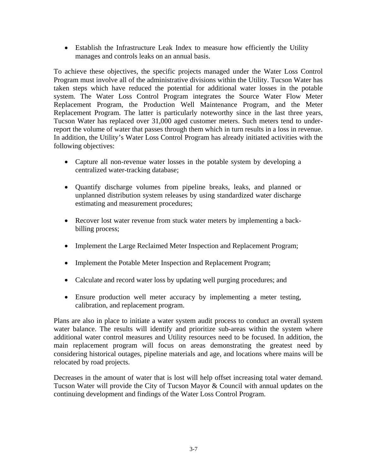• Establish the Infrastructure Leak Index to measure how efficiently the Utility manages and controls leaks on an annual basis.

To achieve these objectives, the specific projects managed under the Water Loss Control Program must involve all of the administrative divisions within the Utility. Tucson Water has taken steps which have reduced the potential for additional water losses in the potable system. The Water Loss Control Program integrates the Source Water Flow Meter Replacement Program, the Production Well Maintenance Program, and the Meter Replacement Program. The latter is particularly noteworthy since in the last three years, Tucson Water has replaced over 31,000 aged customer meters. Such meters tend to underreport the volume of water that passes through them which in turn results in a loss in revenue. In addition, the Utility's Water Loss Control Program has already initiated activities with the following objectives:

- Capture all non-revenue water losses in the potable system by developing a centralized water-tracking database;
- Quantify discharge volumes from pipeline breaks, leaks, and planned or unplanned distribution system releases by using standardized water discharge estimating and measurement procedures;
- Recover lost water revenue from stuck water meters by implementing a backbilling process;
- Implement the Large Reclaimed Meter Inspection and Replacement Program;
- Implement the Potable Meter Inspection and Replacement Program;
- Calculate and record water loss by updating well purging procedures; and
- Ensure production well meter accuracy by implementing a meter testing, calibration, and replacement program.

Plans are also in place to initiate a water system audit process to conduct an overall system water balance. The results will identify and prioritize sub-areas within the system where additional water control measures and Utility resources need to be focused. In addition, the main replacement program will focus on areas demonstrating the greatest need by considering historical outages, pipeline materials and age, and locations where mains will be relocated by road projects.

Decreases in the amount of water that is lost will help offset increasing total water demand. Tucson Water will provide the City of Tucson Mayor & Council with annual updates on the continuing development and findings of the Water Loss Control Program.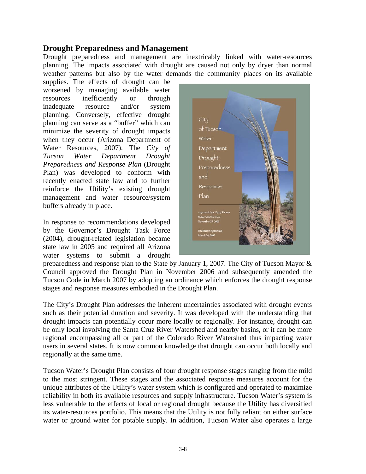#### **Drought Preparedness and Management**

Drought preparedness and management are inextricably linked with water-resources planning. The impacts associated with drought are caused not only by dryer than normal weather patterns but also by the water demands the community places on its available

supplies. The effects of drought can be worsened by managing available water resources inefficiently or through inadequate resource and/or system planning. Conversely, effective drought planning can serve as a "buffer" which can minimize the severity of drought impacts when they occur (Arizona Department of Water Resources, 2007). The *City of Tucson Water Department Drought Preparedness and Response Plan* (Drought Plan) was developed to conform with recently enacted state law and to further reinforce the Utility's existing drought management and water resource/system buffers already in place.

In response to recommendations developed by the Governor's Drought Task Force (2004), drought-related legislation became state law in 2005 and required all Arizona water systems to submit a drought



preparedness and response plan to the State by January 1, 2007. The City of Tucson Mayor & Council approved the Drought Plan in November 2006 and subsequently amended the Tucson Code in March 2007 by adopting an ordinance which enforces the drought response stages and response measures embodied in the Drought Plan.

The City's Drought Plan addresses the inherent uncertainties associated with drought events such as their potential duration and severity. It was developed with the understanding that drought impacts can potentially occur more locally or regionally. For instance, drought can be only local involving the Santa Cruz River Watershed and nearby basins, or it can be more regional encompassing all or part of the Colorado River Watershed thus impacting water users in several states. It is now common knowledge that drought can occur both locally and regionally at the same time.

Tucson Water's Drought Plan consists of four drought response stages ranging from the mild to the most stringent. These stages and the associated response measures account for the unique attributes of the Utility's water system which is configured and operated to maximize reliability in both its available resources and supply infrastructure. Tucson Water's system is less vulnerable to the effects of local or regional drought because the Utility has diversified its water-resources portfolio. This means that the Utility is not fully reliant on either surface water or ground water for potable supply. In addition, Tucson Water also operates a large